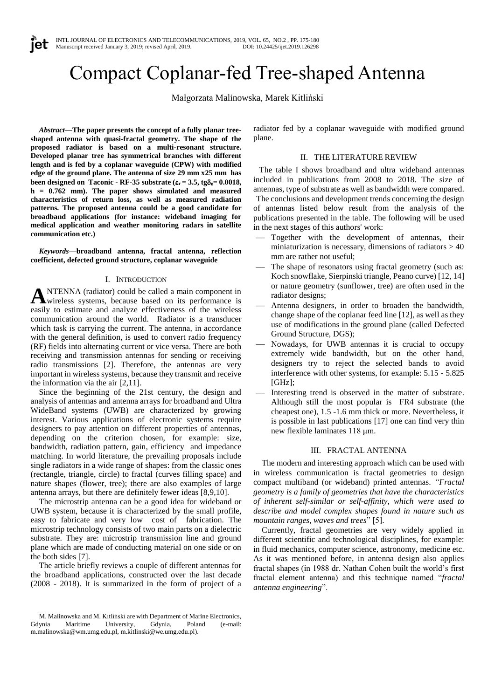# Compact Coplanar-fed Tree-shaped Antenna

Małgorzata Malinowska, Marek Kitliński

*Abstract***—The paper presents the concept of a fully planar treeshaped antenna with quasi-fractal geometry. The shape of the proposed radiator is based on a multi-resonant structure. Developed planar tree has symmetrical branches with different length and is fed by a coplanar waveguide (CPW) with modified edge of the ground plane. The antenna of size 29 mm x25 mm has been designed on Taconic - RF-35** substrate ( $\varepsilon$ **r** = 3.5, tg $\delta$ **s**= 0.0018, **h = 0.762 mm). The paper shows simulated and measured characteristics of return loss, as well as measured radiation patterns. The proposed antenna could be a good candidate for broadband applications (for instance: wideband imaging for medical application and weather monitoring radars in satellite communication etc.)**

*Keywords***—broadband antenna, fractal antenna, reflection coefficient, defected ground structure, coplanar waveguide**

### I. INTRODUCTION

NTENNA (radiator) could be called a main component in wireless systems, because based on its performance is **A** NTENNA (radiator) could be called a main component in wireless systems, because based on its performance is easily to estimate and analyze effectiveness of the wireless communication around the world. Radiator is a transducer which task is carrying the current. The antenna, in accordance with the general definition, is used to convert radio frequency (RF) fields into alternating current or vice versa. There are both receiving and transmission antennas for sending or receiving radio transmissions [2]. Therefore, the antennas are very important in wireless systems, because they transmit and receive the information via the air [2,11].

Since the beginning of the 21st century, the design and analysis of antennas and antenna arrays for broadband and Ultra WideBand systems (UWB) are characterized by growing interest. Various applications of electronic systems require designers to pay attention on different properties of antennas, depending on the criterion chosen, for example: size, bandwidth, radiation pattern, gain, efficiency and impedance matching. In world literature, the prevailing proposals include single radiators in a wide range of shapes: from the classic ones (rectangle, triangle, circle) to fractal (curves filling space) and nature shapes (flower, tree); there are also examples of large antenna arrays, but there are definitely fewer ideas [8,9,10].

The microstrip antenna can be a good idea for wideband or UWB system, because it is characterized by the small profile, easy to fabricate and very low cost of fabrication. The microstrip technology consists of two main parts on a dielectric substrate. They are: microstrip transmission line and ground plane which are made of conducting material on one side or on the both sides [7].

The article briefly reviews a couple of different antennas for the broadband applications, constructed over the last decade (2008 - 2018). It is summarized in the form of project of a radiator fed by a coplanar waveguide with modified ground plane.

#### II. THE LITERATURE REVIEW

The table I shows broadband and ultra wideband antennas included in publications from 2008 to 2018. The size of antennas, type of substrate as well as bandwidth were compared. The conclusions and development trends concerning the design of antennas listed below result from the analysis of the publications presented in the table. The following will be used in the next stages of this authors' work:

- Together with the development of antennas, their miniaturization is necessary, dimensions of radiators  $> 40$ mm are rather not useful;
- The shape of resonators using fractal geometry (such as: Koch snowflake, Sierpinski triangle, Peano curve) [12, 14] or nature geometry (sunflower, tree) are often used in the radiator designs;
- ⎯ Antenna designers, in order to broaden the bandwidth, change shape of the coplanar feed line [12], as well as they use of modifications in the ground plane (called Defected Ground Structure, DGS);
- Nowadays, for UWB antennas it is crucial to occupy extremely wide bandwidth, but on the other hand, designers try to reject the selected bands to avoid interference with other systems, for example: 5.15 - 5.825  $[GHz]$ ;
- Interesting trend is observed in the matter of substrate. Although still the most popular is FR4 substrate (the cheapest one), 1.5 -1.6 mm thick or more. Nevertheless, it is possible in last publications [17] one can find very thin new flexible laminates 118 μm.

# III. FRACTAL ANTENNA

The modern and interesting approach which can be used with in wireless communication is fractal geometries to design compact multiband (or wideband) printed antennas. *"Fractal geometry is a family of geometries that have the characteristics of inherent self-similar or self-affinity, which were used to describe and model complex shapes found in nature such as mountain ranges, waves and trees*" [5].

Currently, fractal geometries are very widely applied in different scientific and technological disciplines, for example: in fluid mechanics, computer science, astronomy, medicine etc. As it was mentioned before, in antenna design also applies fractal shapes (in 1988 dr. Nathan Cohen built the world's first fractal element antenna) and this technique named "*fractal antenna engineering*".

M. Malinowska and M. Kitliński are with Department of Marine Electronics, Gdynia Maritime University, Gdynia, Poland (e-mail: m.malinowska@wm.umg.edu.pl, m.kitlinski@we.umg.edu.pl).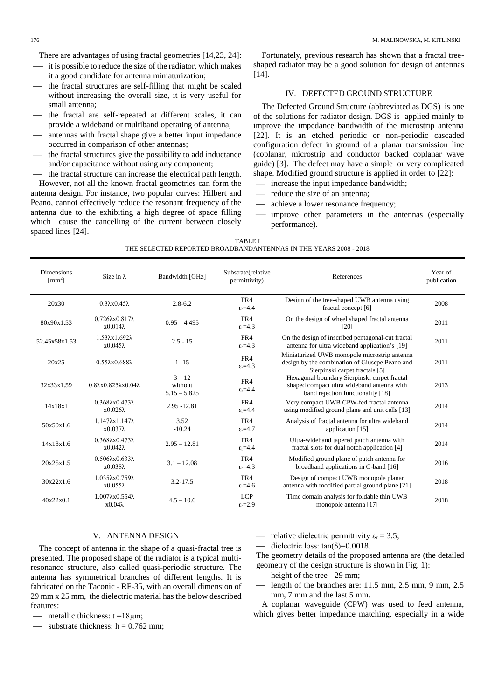There are advantages of using fractal geometries [14,23, 24]:

- $\equiv$  it is possible to reduce the size of the radiator, which makes it a good candidate for antenna miniaturization;
- the fractal structures are self-filling that might be scaled without increasing the overall size, it is very useful for small antenna;
- ⎯ the fractal are self-repeated at different scales, it can provide a wideband or multiband operating of antenna;
- ⎯ antennas with fractal shape give a better input impedance occurred in comparison of other antennas;
- the fractal structures give the possibility to add inductance and/or capacitance without using any component;

the fractal structure can increase the electrical path length. However, not all the known fractal geometries can form the antenna design. For instance, two popular curves: Hilbert and Peano, cannot effectively reduce the resonant frequency of the antenna due to the exhibiting a high degree of space filling which cause the cancelling of the current between closely spaced lines [24].

Fortunately, previous research has shown that a fractal treeshaped radiator may be a good solution for design of antennas [14].

#### IV. DEFECTED GROUND STRUCTURE

The Defected Ground Structure (abbreviated as DGS) is one of the solutions for radiator design. DGS is applied mainly to improve the impedance bandwidth of the microstrip antenna [22]. It is an etched periodic or non-periodic cascaded configuration defect in ground of a planar transmission line (coplanar, microstrip and conductor backed coplanar wave guide) [3]. The defect may have a simple or very complicated shape. Modified ground structure is applied in order to [22]:

- increase the input impedance bandwidth;
- reduce the size of an antenna;
- achieve a lower resonance frequency;
- improve other parameters in the antennas (especially performance).

| TABLE I                                                          |  |
|------------------------------------------------------------------|--|
| THE SELECTED REPORTED BROADBANDANTENNAS IN THE YEARS 2008 - 2018 |  |

| <b>Dimensions</b><br>$\mathrm{[mm^2]}$ | Size in $\lambda$                                | Bandwidth [GHz]                       | Substrate(relative<br>permittivity) | References                                                                                                                       | Year of<br>publication |
|----------------------------------------|--------------------------------------------------|---------------------------------------|-------------------------------------|----------------------------------------------------------------------------------------------------------------------------------|------------------------|
| 20x30                                  | $0.3\lambda x0.45\lambda$                        | $2.8 - 6.2$                           | FR4<br>$\epsilon$ <sub>r</sub> =4.4 | Design of the tree-shaped UWB antenna using<br>fractal concept [6]                                                               | 2008                   |
| 80x90x1.53                             | $0.726\lambda x0.817\lambda$<br>$x0.014\lambda$  | $0.95 - 4.495$                        | FR4<br>$\epsilon$ <sub>r</sub> =4.3 | On the design of wheel shaped fractal antenna<br>[20]                                                                            | 2011                   |
| 52.45x58x1.53                          | $1.53\lambda x1.692\lambda$<br>$x0.045\lambda$   | $2.5 - 15$                            | FR4<br>$\epsilon$ <sub>r</sub> =4.3 | On the design of inscribed pentagonal-cut fractal<br>antenna for ultra wideband application's [19]                               | 2011                   |
| 20x25                                  | $0.55\lambda x0.688\lambda$                      | $1 - 15$                              | FR4<br>$\epsilon$ <sub>r</sub> =4.3 | Miniaturized UWB monopole microstrip antenna<br>design by the combination of Giusepe Peano and<br>Sierpinski carpet fractals [5] | 2011                   |
| 32x33x1.59                             | $0.8\lambda x0.825\lambda x0.04\lambda$          | $3 - 12$<br>without<br>$5.15 - 5.825$ | FR4<br>$\epsilon$ <sub>r</sub> =4.4 | Hexagonal boundary Sierpinski carpet fractal<br>shaped compact ultra wideband antenna with<br>band rejection functionality [18]  | 2013                   |
| 14x18x1                                | $0.368\lambda x0.473\lambda$<br>$x0.026\lambda$  | 2.95 - 12.81                          | FR4<br>$\epsilon$ <sub>r</sub> =4.4 | Very compact UWB CPW-fed fractal antenna<br>using modified ground plane and unit cells [13]                                      | 2014                   |
| 50x50x1.6                              | $1.147\lambda x 1.147\lambda$<br>$x0.037\lambda$ | 3.52<br>$-10.24$                      | FR4<br>$\epsilon$ <sub>r</sub> =4.7 | Analysis of fractal antenna for ultra wideband<br>application [15]                                                               | 2014                   |
| 14x18x1.6                              | $0.368\lambda x0.473\lambda$<br>$x0.042\lambda$  | $2.95 - 12.81$                        | FR4<br>$\epsilon$ <sub>r</sub> =4.4 | Ultra-wideband tapered patch antenna with<br>fractal slots for dual notch application [4]                                        | 2014                   |
| 20x25x1.5                              | $0.506\lambda x0.633\lambda$<br>$x0.038\lambda$  | $3.1 - 12.08$                         | FR4<br>$\epsilon$ <sub>r</sub> =4.3 | Modified ground plane of patch antenna for<br>broadband applications in C-band [16]                                              | 2016                   |
| 30x22x1.6                              | $1.035\lambda x0.759\lambda$<br>$x0.055\lambda$  | $3.2 - 17.5$                          | FR4<br>$\epsilon$ <sub>r</sub> =4.6 | Design of compact UWB monopole planar<br>antenna with modified partial ground plane [21]                                         | 2018                   |
| 40x22x0.1                              | $1.007\lambda x0.554\lambda$<br>$x0.04\lambda$   | $4.5 - 10.6$                          | <b>LCP</b><br>$\epsilon$ -2.9       | Time domain analysis for foldable thin UWB<br>monopole antenna [17]                                                              | 2018                   |

# V. ANTENNA DESIGN

The concept of antenna in the shape of a quasi-fractal tree is presented. The proposed shape of the radiator is a typical multiresonance structure, also called quasi-periodic structure. The antenna has symmetrical branches of different lengths. It is fabricated on the Taconic - RF-35, with an overall dimension of 29 mm x 25 mm, the dielectric material has the below described features:

- $-$  metallic thickness:  $t = 18 \mu m$ ;
- $\frac{1}{2}$  substrate thickness: h = 0.762 mm;

 $-$  relative dielectric permittivity  $\varepsilon_r = 3.5$ ;

— dielectric loss:  $tan(\delta) = 0.0018$ .

The geometry details of the proposed antenna are (the detailed geometry of the design structure is shown in Fig. 1):

- height of the tree 29 mm;
- length of the branches are: 11.5 mm, 2.5 mm, 9 mm, 2.5 mm, 7 mm and the last 5 mm.

A coplanar waveguide (CPW) was used to feed antenna, which gives better impedance matching, especially in a wide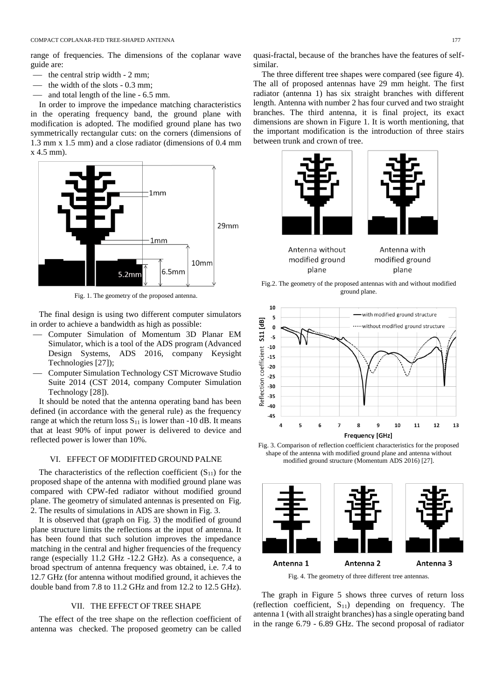range of frequencies. The dimensions of the coplanar wave guide are:

- the central strip width 2 mm;
- the width of the slots 0.3 mm;
- and total length of the line 6.5 mm.

In order to improve the impedance matching characteristics in the operating frequency band, the ground plane with modification is adopted. The modified ground plane has two symmetrically rectangular cuts: on the corners (dimensions of 1.3 mm x 1.5 mm) and a close radiator (dimensions of 0.4 mm x 4.5 mm).



Fig. 1. The geometry of the proposed antenna.

The final design is using two different computer simulators in order to achieve a bandwidth as high as possible:

- ⎯ Computer Simulation of Momentum 3D Planar EM Simulator, which is a tool of the ADS program (Advanced Design Systems, ADS 2016, company Keysight Technologies [27]);
- ⎯ Computer Simulation Technology CST Microwave Studio Suite 2014 (CST 2014, company Computer Simulation Technology [28]).

It should be noted that the antenna operating band has been defined (in accordance with the general rule) as the frequency range at which the return loss  $S_{11}$  is lower than -10 dB. It means that at least 90% of input power is delivered to device and reflected power is lower than 10%.

# VI. EFFECT OF MODIFITED GROUND PALNE

The characteristics of the reflection coefficient  $(S_{11})$  for the proposed shape of the antenna with modified ground plane was compared with CPW-fed radiator without modified ground plane. The geometry of simulated antennas is presented on Fig. 2. The results of simulations in ADS are shown in Fig. 3.

It is observed that (graph on Fig. 3) the modified of ground plane structure limits the reflections at the input of antenna. It has been found that such solution improves the impedance matching in the central and higher frequencies of the frequency range (especially 11.2 GHz -12.2 GHz). As a consequence, a broad spectrum of antenna frequency was obtained, i.e. 7.4 to 12.7 GHz (for antenna without modified ground, it achieves the double band from 7.8 to 11.2 GHz and from 12.2 to 12.5 GHz).

# VII. THE EFFECT OF TREE SHAPE

The effect of the tree shape on the reflection coefficient of antenna was checked. The proposed geometry can be called

quasi-fractal, because of the branches have the features of selfsimilar.

The three different tree shapes were compared (see figure 4). The all of proposed antennas have 29 mm height. The first radiator (antenna 1) has six straight branches with different length. Antenna with number 2 has four curved and two straight branches. The third antenna, it is final project, its exact dimensions are shown in Figure 1. It is worth mentioning, that the important modification is the introduction of three stairs between trunk and crown of tree.





Antenna without modified ground plane

Antenna with modified ground plane

Fig.2. The geometry of the proposed antennas with and without modified ground plane.



Fig. 3. Comparison of reflection coefficient characteristics for the proposed shape of the antenna with modified ground plane and antenna without modified ground structure (Momentum ADS 2016) [27].



Fig. 4. The geometry of three different tree antennas.

The graph in Figure 5 shows three curves of return loss (reflection coefficient,  $S_{11}$ ) depending on frequency. The antenna 1 (with all straight branches) has a single operating band in the range 6.79 - 6.89 GHz. The second proposal of radiator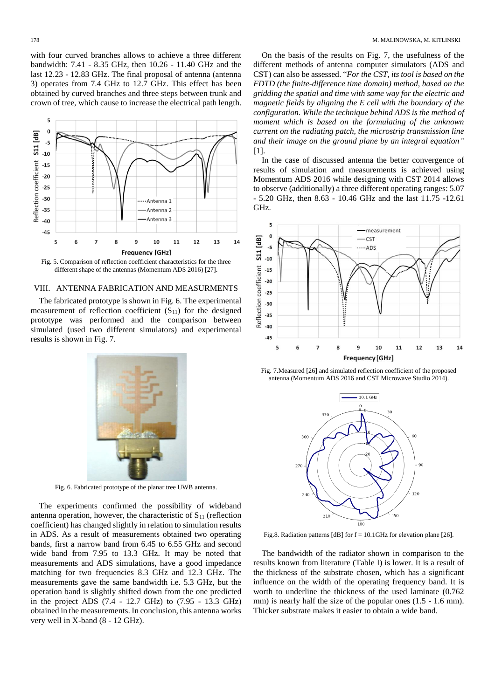with four curved branches allows to achieve a three different bandwidth: 7.41 - 8.35 GHz, then 10.26 - 11.40 GHz and the last 12.23 - 12.83 GHz. The final proposal of antenna (antenna 3) operates from 7.4 GHz to 12.7 GHz. This effect has been obtained by curved branches and three steps between trunk and crown of tree, which cause to increase the electrical path length.



different shape of the antennas (Momentum ADS 2016) [27].

#### VIII. ANTENNA FABRICATION AND MEASURMENTS

The fabricated prototype is shown in Fig. 6. The experimental measurement of reflection coefficient  $(S_{11})$  for the designed prototype was performed and the comparison between simulated (used two different simulators) and experimental results is shown in Fig. 7.



Fig. 6. Fabricated prototype of the planar tree UWB antenna.

The experiments confirmed the possibility of wideband antenna operation, however, the characteristic of  $S_{11}$  (reflection coefficient) has changed slightly in relation to simulation results in ADS. As a result of measurements obtained two operating bands, first a narrow band from 6.45 to 6.55 GHz and second wide band from 7.95 to 13.3 GHz. It may be noted that measurements and ADS simulations, have a good impedance matching for two frequencies 8.3 GHz and 12.3 GHz. The measurements gave the same bandwidth i.e. 5.3 GHz, but the operation band is slightly shifted down from the one predicted in the project ADS (7.4 - 12.7 GHz) to (7.95 - 13.3 GHz) obtained in the measurements. In conclusion, this antenna works very well in X-band (8 - 12 GHz).

On the basis of the results on Fig. 7, the usefulness of the different methods of antenna computer simulators (ADS and CST) can also be assessed. "*For the CST, its tool is based on the FDTD (the finite-difference time domain) method, based on the gridding the spatial and time with same way for the electric and magnetic fields by aligning the E cell with the boundary of the configuration. While the technique behind ADS is the method of moment which is based on the formulating of the unknown current on the radiating patch, the microstrip transmission line and their image on the ground plane by an integral equation"* [1].

In the case of discussed antenna the better convergence of results of simulation and measurements is achieved using Momentum ADS 2016 while designing with CST 2014 allows to observe (additionally) a three different operating ranges: 5.07 - 5.20 GHz, then 8.63 - 10.46 GHz and the last 11.75 -12.61 GHz.



Fig. 7.Measured [26] and simulated reflection coefficient of the proposed antenna (Momentum ADS 2016 and CST Microwave Studio 2014).



Fig.8. Radiation patterns [dB] for f = 10.1GHz for elevation plane [26].

The bandwidth of the radiator shown in comparison to the results known from literature (Table I) is lower. It is a result of the thickness of the substrate chosen, which has a significant influence on the width of the operating frequency band. It is worth to underline the thickness of the used laminate (0.762 mm) is nearly half the size of the popular ones  $(1.5 - 1.6$  mm). Thicker substrate makes it easier to obtain a wide band.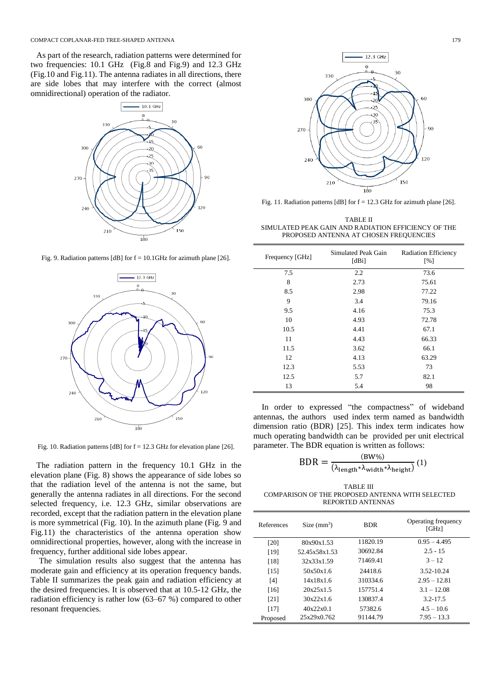As part of the research, radiation patterns were determined for two frequencies: 10.1 GHz (Fig.8 and Fig.9) and 12.3 GHz (Fig.10 and Fig.11). The antenna radiates in all directions, there are side lobes that may interfere with the correct (almost omnidirectional) operation of the radiator.



Fig. 9. Radiation patterns [dB] for  $f = 10.1$  GHz for azimuth plane [26].



Fig. 10. Radiation patterns [dB] for  $f = 12.3$  GHz for elevation plane [26].

The radiation pattern in the frequency 10.1 GHz in the elevation plane (Fig. 8) shows the appearance of side lobes so that the radiation level of the antenna is not the same, but generally the antenna radiates in all directions. For the second selected frequency, i.e. 12.3 GHz, similar observations are recorded, except that the radiation pattern in the elevation plane is more symmetrical (Fig. 10). In the azimuth plane (Fig. 9 and Fig.11) the characteristics of the antenna operation show omnidirectional properties, however, along with the increase in frequency, further additional side lobes appear.

The simulation results also suggest that the antenna has moderate gain and efficiency at its operation frequency bands. Table II summarizes the peak gain and radiation efficiency at the desired frequencies. It is observed that at 10.5-12 GHz, the radiation efficiency is rather low (63–67 %) compared to other resonant frequencies.



Fig. 11. Radiation patterns [dB] for f = 12.3 GHz for azimuth plane [26].

TABLE II SIMULATED PEAK GAIN AND RADIATION EFFICIENCY OF THE PROPOSED ANTENNA AT CHOSEN FREQUENCIES

| Frequency [GHz] | Simulated Peak Gain<br>[dBi] | <b>Radiation Efficiency</b><br>[%] |
|-----------------|------------------------------|------------------------------------|
| 7.5             | 2.2                          | 73.6                               |
| 8               | 2.73                         | 75.61                              |
| 8.5             | 2.98                         | 77.22                              |
| 9               | 3.4                          | 79.16                              |
| 9.5             | 4.16                         | 75.3                               |
| 10              | 4.93                         | 72.78                              |
| 10.5            | 4.41                         | 67.1                               |
| 11              | 4.43                         | 66.33                              |
| 11.5            | 3.62                         | 66.1                               |
| 12              | 4.13                         | 63.29                              |
| 12.3            | 5.53                         | 73                                 |
| 12.5            | 5.7                          | 82.1                               |
| 13              | 5.4                          | 98                                 |

In order to expressed "the compactness" of wideband antennas, the authors used index term named as bandwidth dimension ratio (BDR) [25]. This index term indicates how much operating bandwidth can be provided per unit electrical parameter. The BDR equation is written as follows:

$$
BDR = \frac{(BW\%)}{(\lambda_{\text{length}} * \lambda_{\text{width}} * \lambda_{\text{height}})} (1)
$$

TABLE III COMPARISON OF THE PROPOSED ANTENNA WITH SELECTED REPORTED ANTENNAS

| References | Size $(mm^3)$ | <b>BDR</b> | Operating frequency<br>[GHz] |
|------------|---------------|------------|------------------------------|
| [20]       | 80x90x1.53    | 11820.19   | $0.95 - 4.495$               |
| [19]       | 52.45x58x1.53 | 30692.84   | $2.5 - 15$                   |
| [18]       | 32x33x1.59    | 71469.41   | $3 - 12$                     |
| [15]       | 50x50x1.6     | 24418.6    | 3.52-10.24                   |
| [4]        | 14x18x1.6     | 310334.6   | $2.95 - 12.81$               |
| [16]       | 20x25x1.5     | 157751.4   | $3.1 - 12.08$                |
| [21]       | 30x22x1.6     | 130837.4   | $3.2 - 17.5$                 |
| [17]       | 40x22x0.1     | 57382.6    | $4.5 - 10.6$                 |
| Proposed   | 25x29x0.762   | 91144.79   | $7.95 - 13.3$                |